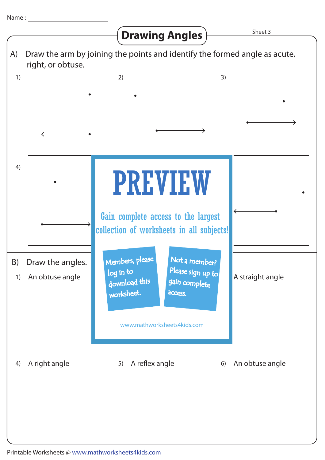